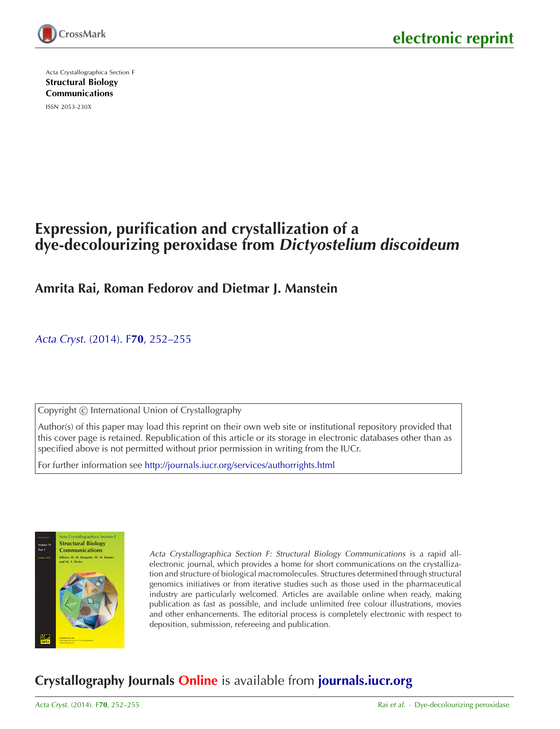

Acta Crystallographica Section F [Structural Biology](http://journals.iucr.org/f/) Communications

ISSN 2053-230X

# **Expression, purification and crystallization of a dye-decolourizing peroxidase from Dictyostelium discoideum**

### **Amrita Rai, Roman Fedorov and Dietmar J. Manstein**

Acta Cryst. (2014). F**70**[, 252–255](http://dx.doi.org/10.1107/S2053230X14000545)

Copyright © International Union of Crystallography

Author(s) of this paper may load this reprint on their own web site or institutional repository provided that this cover page is retained. Republication of this article or its storage in electronic databases other than as specified above is not permitted without prior permission in writing from the IUCr.

For further information see <http://journals.iucr.org/services/authorrights.html>



Acta Crystallographica Section F: Structural Biology Communications is a rapid allelectronic journal, which provides a home for short communications on the crystallization and structure of biological macromolecules. Structures determined through structural genomics initiatives or from iterative studies such as those used in the pharmaceutical industry are particularly welcomed. Articles are available online when ready, making publication as fast as possible, and include unlimited free colour illustrations, movies and other enhancements. The editorial process is completely electronic with respect to deposition, submission, refereeing and publication.

## **Crystallography Journals Online** is available from **[journals.iucr.org](http://journals.iucr.org)**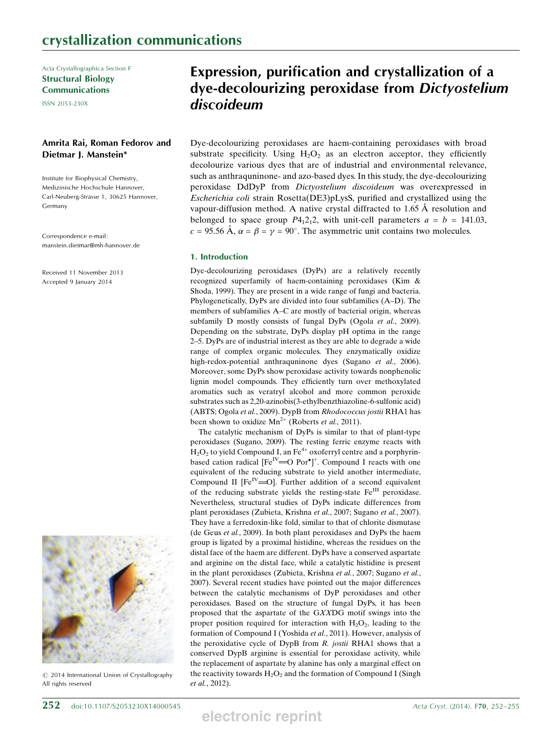Acta Crystallographica Section F Structural Biology Communications

ISSN 2053-230X

### Amrita Rai, Roman Fedorov and Dietmar J. Manstein\*

Institute for Biophysical Chemistry, Medizinische Hochschule Hannover, Carl-Neuberg-Strasse 1, 30625 Hannover, Germany

Correspondence e-mail: manstein.dietmar@mh-hannover.de

Received 11 November 2013 Accepted 9 January 2014



 $\odot$  2014 International Union of Crystallography All rights reserved

## Expression, purification and crystallization of a dye-decolourizing peroxidase from Dictyostelium discoideum

Dye-decolourizing peroxidases are haem-containing peroxidases with broad substrate specificity. Using  $H_2O_2$  as an electron acceptor, they efficiently decolourize various dyes that are of industrial and environmental relevance, such as anthraquninone- and azo-based dyes. In this study, the dye-decolourizing peroxidase DdDyP from Dictyostelium discoideum was overexpressed in Escherichia coli strain Rosetta(DE3)pLysS, purified and crystallized using the vapour-diffusion method. A native crystal diffracted to 1.65 A˚ resolution and belonged to space group  $P_12_12$ , with unit-cell parameters  $a = b = 141.03$ ,  $c = 95.56 \text{ Å}, \alpha = \beta = \gamma = 90^{\circ}.$  The asymmetric unit contains two molecules.

#### 1. Introduction

Dye-decolourizing peroxidases (DyPs) are a relatively recently recognized superfamily of haem-containing peroxidases (Kim & Shoda, 1999). They are present in a wide range of fungi and bacteria. Phylogenetically, DyPs are divided into four subfamilies (A–D). The members of subfamilies A–C are mostly of bacterial origin, whereas subfamily D mostly consists of fungal DyPs (Ogola et al., 2009). Depending on the substrate, DyPs display pH optima in the range 2–5. DyPs are of industrial interest as they are able to degrade a wide range of complex organic molecules. They enzymatically oxidize high-redox-potential anthraquninone dyes (Sugano et al., 2006). Moreover, some DyPs show peroxidase activity towards nonphenolic lignin model compounds. They efficiently turn over methoxylated aromatics such as veratryl alcohol and more common peroxide substrates such as 2,20-azinobis(3-ethylbenzthiazoline-6-sulfonic acid) (ABTS; Ogola et al., 2009). DypB from Rhodococcus jostii RHA1 has been shown to oxidize  $Mn^{2+}$  (Roberts *et al.*, 2011).

The catalytic mechanism of DyPs is similar to that of plant-type peroxidases (Sugano, 2009). The resting ferric enzyme reacts with  $H_2O_2$  to yield Compound I, an Fe<sup>4+</sup> oxoferryl centre and a porphyrinbased cation radical  $[Fe^{IV} = O Por^{\bullet}]^{+}$ . Compound I reacts with one equivalent of the reducing substrate to yield another intermediate, Compound II  $[Fe^{IV}]=0$ . Further addition of a second equivalent of the reducing substrate yields the resting-state Fe<sup>III</sup> peroxidase. Nevertheless, structural studies of DyPs indicate differences from plant peroxidases (Zubieta, Krishna et al., 2007; Sugano et al., 2007). They have a ferredoxin-like fold, similar to that of chlorite dismutase (de Geus et al., 2009). In both plant peroxidases and DyPs the haem group is ligated by a proximal histidine, whereas the residues on the distal face of the haem are different. DyPs have a conserved aspartate and arginine on the distal face, while a catalytic histidine is present in the plant peroxidases (Zubieta, Krishna et al., 2007; Sugano et al., 2007). Several recent studies have pointed out the major differences between the catalytic mechanisms of DyP peroxidases and other peroxidases. Based on the structure of fungal DyPs, it has been proposed that the aspartate of the GXXDG motif swings into the proper position required for interaction with  $H_2O_2$ , leading to the formation of Compound I (Yoshida et al., 2011). However, analysis of the peroxidative cycle of DypB from  $R$ . jostii RHA1 shows that a conserved DypB arginine is essential for peroxidase activity, while the replacement of aspartate by alanine has only a marginal effect on the reactivity towards  $H_2O_2$  and the formation of Compound I (Singh et al., 2012).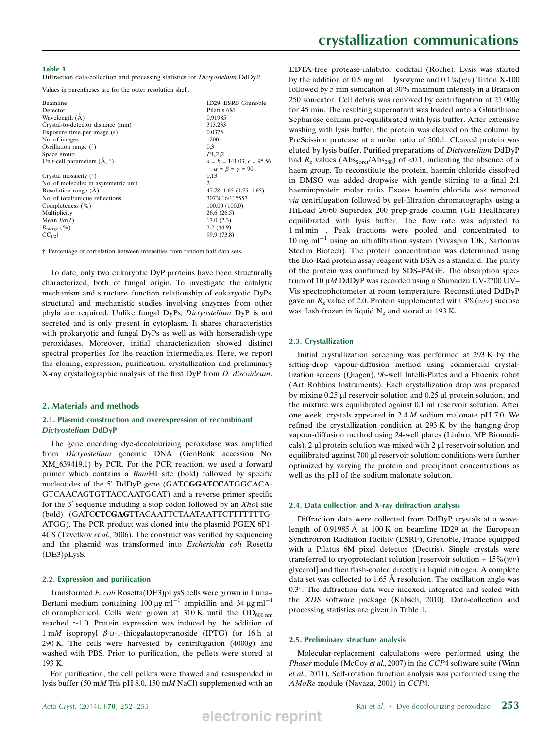#### Table 1

Diffraction data-collection and processing statistics for Dictyostelium DdDyP.

Values in parentheses are for the outer resolution shell.

| <b>Beamline</b>                     | ID29, ESRF Grenoble              |
|-------------------------------------|----------------------------------|
|                                     |                                  |
| Detector                            | Pilatus 6M                       |
| Wavelength (A)                      | 0.91985                          |
| Crystal-to-detector distance (mm)   | 313.233                          |
| Exposure time per image (s)         | 0.0375                           |
| No. of images                       | 1200                             |
| Oscillation range $(°)$             | 0.3                              |
| Space group                         | $P_{{}_{1}}{2_{1}}{2$            |
| Unit-cell parameters $(A, \degree)$ | $a = b = 141.03$ , $c = 95.56$ , |
|                                     | $\alpha = \beta = \gamma = 90$   |
| Crystal mosaicity $(°)$             | 0.13                             |
| No. of molecules in asymmetric unit | 2                                |
| Resolution range $(A)$              | $47.78 - 1.65$ $(1.75 - 1.65)$   |
| No. of total/unique reflections     | 3073816/115557                   |
| Completeness (%)                    | 100.00 (100.0)                   |
| Multiplicity                        | 26.6(26.5)                       |
| Mean $I/\sigma(I)$                  | 17.0(2.3)                        |
| $R_{\text{merge}}$ (%)              | 3.2(44.9)                        |
| $CC_{1/2}$ †                        | 99.9 (73.8)                      |

† Percentage of correlation between intensities from random half data sets.

To date, only two eukaryotic DyP proteins have been structurally characterized, both of fungal origin. To investigate the catalytic mechanism and structure–function relationship of eukaryotic DyPs, structural and mechanistic studies involving enzymes from other phyla are required. Unlike fungal DyPs, Dictyostelium DyP is not secreted and is only present in cytoplasm. It shares characteristics with prokaryotic and fungal DyPs as well as with horseradish-type peroxidases. Moreover, initial characterization showed distinct spectral properties for the reaction intermediates. Here, we report the cloning, expression, purification, crystallization and preliminary X-ray crystallographic analysis of the first DyP from D. discoideum.

#### 2. Materials and methods

#### 2.1. Plasmid construction and overexpression of recombinant Dictyostelium DdDyP

The gene encoding dye-decolourizing peroxidase was amplified from Dictyostelium genomic DNA (GenBank accession No. XM\_639419.1) by PCR. For the PCR reaction, we used a forward primer which contains a BamHI site (bold) followed by specific nucleotides of the 5' DdDyP gene (GATCGGATCCATGGCACA-GTCAACAGTGTTACCAATGCAT) and a reverse primer specific for the  $3'$  sequence including a stop codon followed by an XhoI site (bold) (GATCCTCGAGTTACAATTCTAATAATTCTTTTTTTG-ATGG). The PCR product was cloned into the plasmid PGEX 6P1- 4CS (Tzvetkov et al., 2006). The construct was verified by sequencing and the plasmid was transformed into Escherichia coli Rosetta (DE3)pLysS.

#### 2.2. Expression and purification

Transformed E. coli Rosetta(DE3)pLysS cells were grown in Luria– Bertani medium containing 100  $\mu$ g ml<sup>-1</sup> ampicillin and 34  $\mu$ g ml<sup>-1</sup> chloramphenicol. Cells were grown at 310 K until the  $OD_{600 \text{ nm}}$ reached  $\sim$ 1.0. Protein expression was induced by the addition of  $1 \text{ mM}$  isopropyl  $\beta$ -D-1-thiogalactopyranoside (IPTG) for 16 h at 290 K. The cells were harvested by centrifugation  $(4000g)$  and washed with PBS. Prior to purification, the pellets were stored at 193 K.

For purification, the cell pellets were thawed and resuspended in lysis buffer (50 mM Tris pH 8.0, 150 mM NaCl) supplemented with an EDTA-free protease-inhibitor cocktail (Roche). Lysis was started by the addition of 0.5 mg ml<sup>-1</sup> lysozyme and  $0.1\%$  (v/v) Triton X-100 followed by 5 min sonication at 30% maximum intensity in a Branson 250 sonicator. Cell debris was removed by centrifugation at 21 000g for 45 min. The resulting supernatant was loaded onto a Glutathione Sepharose column pre-equilibrated with lysis buffer. After extensive washing with lysis buffer, the protein was cleaved on the column by PreScission protease at a molar ratio of 500:1. Cleaved protein was eluted by lysis buffer. Purified preparations of Dictyostelium DdDyP had  $R_z$  values (Abs<sub>Soret</sub>/Abs<sub>280</sub>) of <0.1, indicating the absence of a haem group. To reconstitute the protein, haemin chloride dissolved in DMSO was added dropwise with gentle stirring to a final 2:1 haemin:protein molar ratio. Excess haemin chloride was removed via centrifugation followed by gel-filtration chromatography using a HiLoad 26/60 Superdex 200 prep-grade column (GE Healthcare) equilibrated with lysis buffer. The flow rate was adjusted to 1 ml min<sup>-1</sup>. Peak fractions were pooled and concentrated to  $10 \text{ mg ml}^{-1}$  using an ultrafiltration system (Vivaspin 10K, Sartorius Stedim Biotech). The protein concentration was determined using the Bio-Rad protein assay reagent with BSA as a standard. The purity of the protein was confirmed by SDS–PAGE. The absorption spectrum of 10  $\mu$ M DdDyP was recorded using a Shimadzu UV-2700 UV– Vis spectrophotometer at room temperature. Reconstituted DdDyP gave an  $R_z$  value of 2.0. Protein supplemented with  $3\%(w/v)$  sucrose was flash-frozen in liquid  $N_2$  and stored at 193 K.

#### 2.3. Crystallization

Initial crystallization screening was performed at 293 K by the sitting-drop vapour-diffusion method using commercial crystallization screens (Qiagen), 96-well Intelli-Plates and a Phoenix robot (Art Robbins Instruments). Each crystallization drop was prepared by mixing 0.25 µl reservoir solution and 0.25 µl protein solution, and the mixture was equilibrated against 0.1 ml reservoir solution. After one week, crystals appeared in 2.4 M sodium malonate pH 7.0. We refined the crystallization condition at 293 K by the hanging-drop vapour-diffusion method using 24-well plates (Linbro, MP Biomedicals).  $2 \mu$ l protein solution was mixed with  $2 \mu$ l reservoir solution and equilibrated against 700 µl reservoir solution; conditions were further optimized by varying the protein and precipitant concentrations as well as the pH of the sodium malonate solution.

#### 2.4. Data collection and X-ray diffraction analysis

Diffraction data were collected from DdDyP crystals at a wavelength of  $0.91985 \text{ Å}$  at  $100 \text{ K}$  on beamline ID29 at the European Synchrotron Radiation Facility (ESRF), Grenoble, France equipped with a Pilatus 6M pixel detector (Dectris). Single crystals were transferred to cryoprotectant solution [reservoir solution +  $15\%$  ( $v/v$ ) glycerol] and then flash-cooled directly in liquid nitrogen. A complete data set was collected to  $1.65$  Å resolution. The oscillation angle was 0.3°. The diffraction data were indexed, integrated and scaled with the XDS software package (Kabsch, 2010). Data-collection and processing statistics are given in Table 1.

#### 2.5. Preliminary structure analysis

Molecular-replacement calculations were performed using the Phaser module (McCoy et al., 2007) in the CCP4 software suite (Winn et al., 2011). Self-rotation function analysis was performed using the AMoRe module (Navaza, 2001) in CCP4.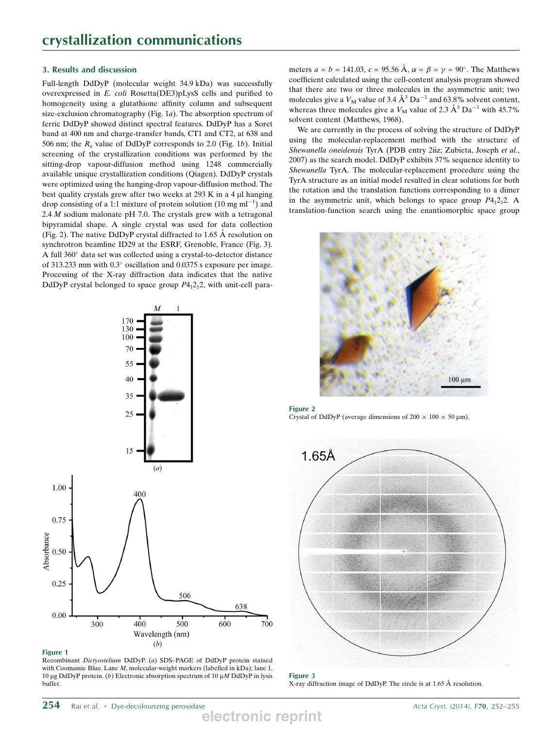### 3. Results and discussion

Full-length DdDyP (molecular weight 34.9 kDa) was successfully overexpressed in E. coli Rosetta(DE3)pLysS cells and purified to homogeneity using a glutathione affinity column and subsequent size-exclusion chromatography (Fig. 1a). The absorption spectrum of ferric DdDyP showed distinct spectral features. DdDyP has a Soret band at 400 nm and charge-transfer bands, CT1 and CT2, at 638 and 506 nm; the  $R_z$  value of DdDyP corresponds to 2.0 (Fig. 1b). Initial screening of the crystallization conditions was performed by the sitting-drop vapour-diffusion method using 1248 commercially available unique crystallization conditions (Qiagen). DdDyP crystals were optimized using the hanging-drop vapour-diffusion method. The best quality crystals grew after two weeks at  $293 \text{ K}$  in a 4  $\mu$ l hanging drop consisting of a 1:1 mixture of protein solution (10 mg ml<sup>-1</sup>) and 2.4  $M$  sodium malonate pH 7.0. The crystals grew with a tetragonal bipyramidal shape. A single crystal was used for data collection (Fig. 2). The native DdDyP crystal diffracted to 1.65  $\AA$  resolution on synchrotron beamline ID29 at the ESRF, Grenoble, France (Fig. 3). A full 360° data set was collected using a crystal-to-detector distance of 313.233 mm with  $0.3^{\circ}$  oscillation and  $0.0375$  s exposure per image. Processing of the X-ray diffraction data indicates that the native DdDyP crystal belonged to space group  $P4<sub>1</sub>2<sub>1</sub>2$ , with unit-cell para-



Figure 1

Recombinant Dictyostelium DdDyP. (a) SDS–PAGE of DdDyP protein stained with Coomassie Blue. Lane M, molecular-weight markers (labelled in kDa); lane 1, 10 µg DdDyP protein. (b) Electronic absorption spectrum of 10 µM DdDyP in lysis buffer.

meters  $a = b = 141.03$ ,  $c = 95.56 \text{ Å}$ ,  $\alpha = \beta = \gamma = 90^{\circ}$ . The Matthews coefficient calculated using the cell-content analysis program showed that there are two or three molecules in the asymmetric unit; two molecules give a  $V_M$  value of 3.4  $\AA$ <sup>3</sup> Da<sup>-1</sup> and 63.8% solvent content, whereas three molecules give a  $V_M$  value of 2.3  $\AA$ <sup>3</sup> Da<sup>-1</sup> with 45.7% solvent content (Matthews, 1968).

We are currently in the process of solving the structure of DdDyP using the molecular-replacement method with the structure of Shewanella oneidensis TyrA (PDB entry 2iiz; Zubieta, Joseph et al., 2007) as the search model. DdDyP exhibits 37% sequence identity to Shewanella TyrA. The molecular-replacement procedure using the TyrA structure as an initial model resulted in clear solutions for both the rotation and the translation functions corresponding to a dimer in the asymmetric unit, which belongs to space group  $P4<sub>1</sub>2<sub>1</sub>2$ . A translation-function search using the enantiomorphic space group



Figure 2 Crystal of DdDyP (average dimensions of  $200 \times 100 \times 50$  µm).



Figure 3 X-ray diffraction image of DdDyP. The circle is at 1.65 Å resolution.